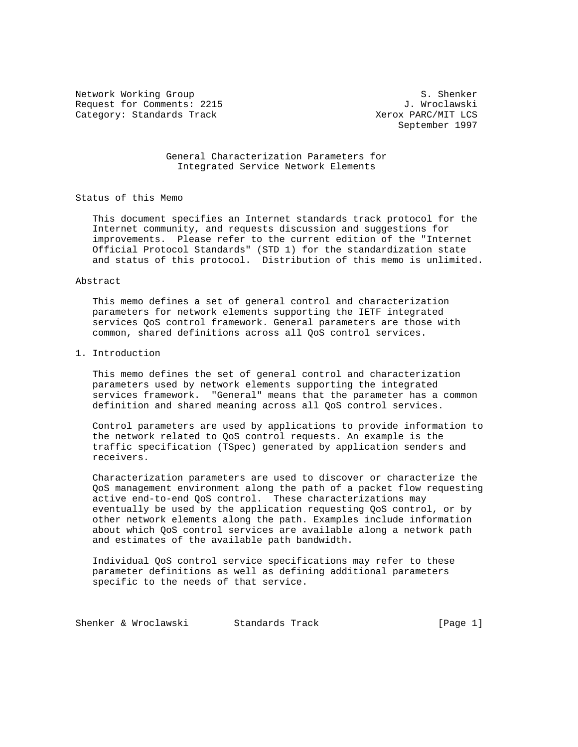Network Working Group S. Shenker Request for Comments: 2215 J. Wroclawski Category: Standards Track

September 1997

 General Characterization Parameters for Integrated Service Network Elements

Status of this Memo

 This document specifies an Internet standards track protocol for the Internet community, and requests discussion and suggestions for improvements. Please refer to the current edition of the "Internet Official Protocol Standards" (STD 1) for the standardization state and status of this protocol. Distribution of this memo is unlimited.

#### Abstract

 This memo defines a set of general control and characterization parameters for network elements supporting the IETF integrated services QoS control framework. General parameters are those with common, shared definitions across all QoS control services.

## 1. Introduction

 This memo defines the set of general control and characterization parameters used by network elements supporting the integrated services framework. "General" means that the parameter has a common definition and shared meaning across all QoS control services.

 Control parameters are used by applications to provide information to the network related to QoS control requests. An example is the traffic specification (TSpec) generated by application senders and receivers.

 Characterization parameters are used to discover or characterize the QoS management environment along the path of a packet flow requesting active end-to-end QoS control. These characterizations may eventually be used by the application requesting QoS control, or by other network elements along the path. Examples include information about which QoS control services are available along a network path and estimates of the available path bandwidth.

 Individual QoS control service specifications may refer to these parameter definitions as well as defining additional parameters specific to the needs of that service.

Shenker & Wroclawski Standards Track [Page 1]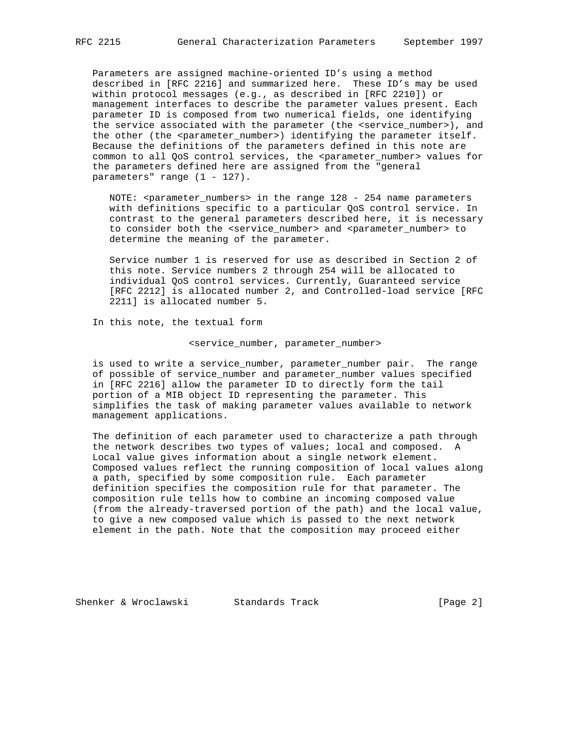Parameters are assigned machine-oriented ID's using a method described in [RFC 2216] and summarized here. These ID's may be used within protocol messages (e.g., as described in [RFC 2210]) or management interfaces to describe the parameter values present. Each parameter ID is composed from two numerical fields, one identifying the service associated with the parameter (the <service\_number>), and the other (the <parameter\_number>) identifying the parameter itself. Because the definitions of the parameters defined in this note are common to all QoS control services, the <parameter\_number> values for the parameters defined here are assigned from the "general parameters" range (1 - 127).

NOTE: <parameter\_numbers> in the range 128 - 254 name parameters with definitions specific to a particular QoS control service. In contrast to the general parameters described here, it is necessary to consider both the <service\_number> and <parameter\_number> to determine the meaning of the parameter.

 Service number 1 is reserved for use as described in Section 2 of this note. Service numbers 2 through 254 will be allocated to individual QoS control services. Currently, Guaranteed service [RFC 2212] is allocated number 2, and Controlled-load service [RFC 2211] is allocated number 5.

In this note, the textual form

## <service\_number, parameter\_number>

 is used to write a service\_number, parameter\_number pair. The range of possible of service\_number and parameter\_number values specified in [RFC 2216] allow the parameter ID to directly form the tail portion of a MIB object ID representing the parameter. This simplifies the task of making parameter values available to network management applications.

 The definition of each parameter used to characterize a path through the network describes two types of values; local and composed. A Local value gives information about a single network element. Composed values reflect the running composition of local values along a path, specified by some composition rule. Each parameter definition specifies the composition rule for that parameter. The composition rule tells how to combine an incoming composed value (from the already-traversed portion of the path) and the local value, to give a new composed value which is passed to the next network element in the path. Note that the composition may proceed either

Shenker & Wroclawski Standards Track [Page 2]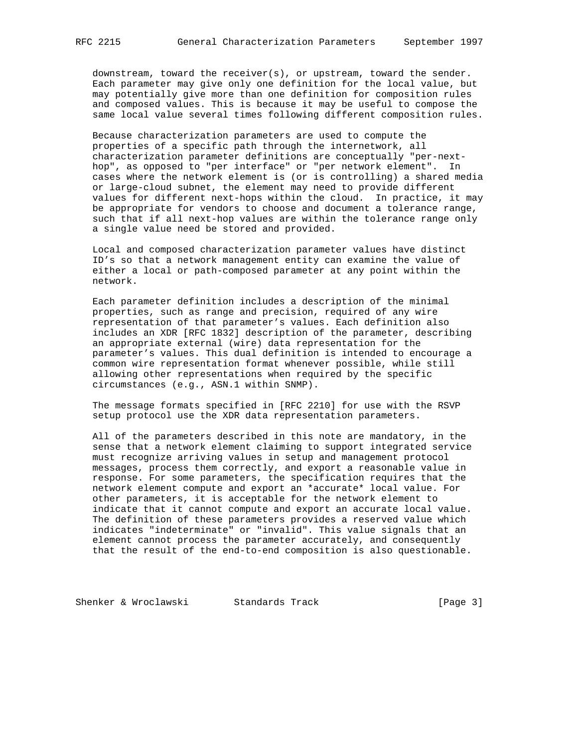downstream, toward the receiver(s), or upstream, toward the sender. Each parameter may give only one definition for the local value, but may potentially give more than one definition for composition rules and composed values. This is because it may be useful to compose the same local value several times following different composition rules.

 Because characterization parameters are used to compute the properties of a specific path through the internetwork, all characterization parameter definitions are conceptually "per-next hop", as opposed to "per interface" or "per network element". In cases where the network element is (or is controlling) a shared media or large-cloud subnet, the element may need to provide different values for different next-hops within the cloud. In practice, it may be appropriate for vendors to choose and document a tolerance range, such that if all next-hop values are within the tolerance range only a single value need be stored and provided.

 Local and composed characterization parameter values have distinct ID's so that a network management entity can examine the value of either a local or path-composed parameter at any point within the network.

 Each parameter definition includes a description of the minimal properties, such as range and precision, required of any wire representation of that parameter's values. Each definition also includes an XDR [RFC 1832] description of the parameter, describing an appropriate external (wire) data representation for the parameter's values. This dual definition is intended to encourage a common wire representation format whenever possible, while still allowing other representations when required by the specific circumstances (e.g., ASN.1 within SNMP).

 The message formats specified in [RFC 2210] for use with the RSVP setup protocol use the XDR data representation parameters.

 All of the parameters described in this note are mandatory, in the sense that a network element claiming to support integrated service must recognize arriving values in setup and management protocol messages, process them correctly, and export a reasonable value in response. For some parameters, the specification requires that the network element compute and export an \*accurate\* local value. For other parameters, it is acceptable for the network element to indicate that it cannot compute and export an accurate local value. The definition of these parameters provides a reserved value which indicates "indeterminate" or "invalid". This value signals that an element cannot process the parameter accurately, and consequently that the result of the end-to-end composition is also questionable.

Shenker & Wroclawski Standards Track [Page 3]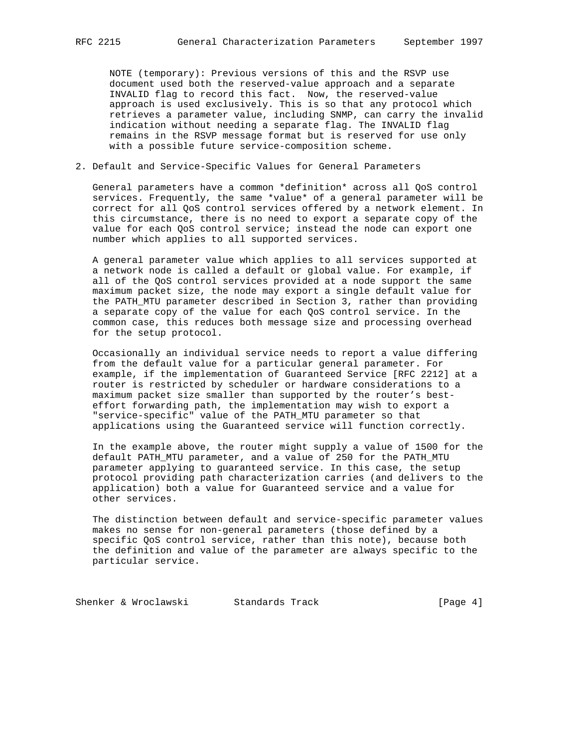NOTE (temporary): Previous versions of this and the RSVP use document used both the reserved-value approach and a separate INVALID flag to record this fact. Now, the reserved-value approach is used exclusively. This is so that any protocol which retrieves a parameter value, including SNMP, can carry the invalid indication without needing a separate flag. The INVALID flag remains in the RSVP message format but is reserved for use only with a possible future service-composition scheme.

# 2. Default and Service-Specific Values for General Parameters

 General parameters have a common \*definition\* across all QoS control services. Frequently, the same \*value\* of a general parameter will be correct for all QoS control services offered by a network element. In this circumstance, there is no need to export a separate copy of the value for each QoS control service; instead the node can export one number which applies to all supported services.

 A general parameter value which applies to all services supported at a network node is called a default or global value. For example, if all of the QoS control services provided at a node support the same maximum packet size, the node may export a single default value for the PATH\_MTU parameter described in Section 3, rather than providing a separate copy of the value for each QoS control service. In the common case, this reduces both message size and processing overhead for the setup protocol.

 Occasionally an individual service needs to report a value differing from the default value for a particular general parameter. For example, if the implementation of Guaranteed Service [RFC 2212] at a router is restricted by scheduler or hardware considerations to a maximum packet size smaller than supported by the router's best effort forwarding path, the implementation may wish to export a "service-specific" value of the PATH\_MTU parameter so that applications using the Guaranteed service will function correctly.

 In the example above, the router might supply a value of 1500 for the default PATH\_MTU parameter, and a value of 250 for the PATH\_MTU parameter applying to guaranteed service. In this case, the setup protocol providing path characterization carries (and delivers to the application) both a value for Guaranteed service and a value for other services.

 The distinction between default and service-specific parameter values makes no sense for non-general parameters (those defined by a specific QoS control service, rather than this note), because both the definition and value of the parameter are always specific to the particular service.

Shenker & Wroclawski Standards Track [Page 4]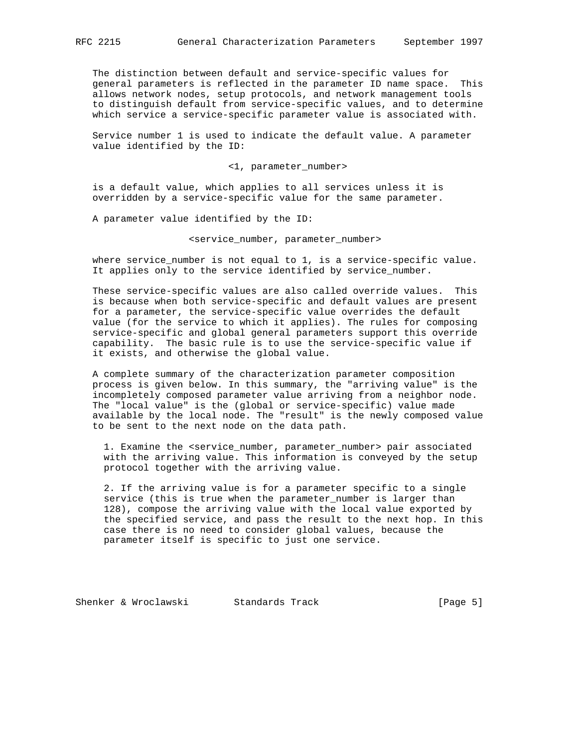The distinction between default and service-specific values for general parameters is reflected in the parameter ID name space. This allows network nodes, setup protocols, and network management tools to distinguish default from service-specific values, and to determine which service a service-specific parameter value is associated with.

 Service number 1 is used to indicate the default value. A parameter value identified by the ID:

<1, parameter\_number>

 is a default value, which applies to all services unless it is overridden by a service-specific value for the same parameter.

A parameter value identified by the ID:

<service\_number, parameter\_number>

 where service\_number is not equal to 1, is a service-specific value. It applies only to the service identified by service\_number.

 These service-specific values are also called override values. This is because when both service-specific and default values are present for a parameter, the service-specific value overrides the default value (for the service to which it applies). The rules for composing service-specific and global general parameters support this override capability. The basic rule is to use the service-specific value if it exists, and otherwise the global value.

 A complete summary of the characterization parameter composition process is given below. In this summary, the "arriving value" is the incompletely composed parameter value arriving from a neighbor node. The "local value" is the (global or service-specific) value made available by the local node. The "result" is the newly composed value to be sent to the next node on the data path.

 1. Examine the <service\_number, parameter\_number> pair associated with the arriving value. This information is conveyed by the setup protocol together with the arriving value.

 2. If the arriving value is for a parameter specific to a single service (this is true when the parameter\_number is larger than 128), compose the arriving value with the local value exported by the specified service, and pass the result to the next hop. In this case there is no need to consider global values, because the parameter itself is specific to just one service.

Shenker & Wroclawski Standards Track [Page 5]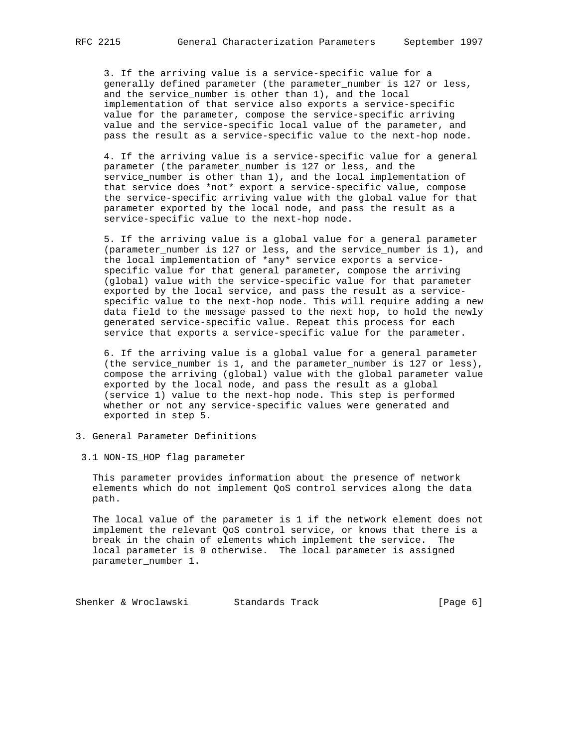3. If the arriving value is a service-specific value for a generally defined parameter (the parameter\_number is 127 or less, and the service\_number is other than 1), and the local implementation of that service also exports a service-specific value for the parameter, compose the service-specific arriving value and the service-specific local value of the parameter, and pass the result as a service-specific value to the next-hop node.

 4. If the arriving value is a service-specific value for a general parameter (the parameter\_number is 127 or less, and the service\_number is other than 1), and the local implementation of that service does \*not\* export a service-specific value, compose the service-specific arriving value with the global value for that parameter exported by the local node, and pass the result as a service-specific value to the next-hop node.

 5. If the arriving value is a global value for a general parameter (parameter\_number is 127 or less, and the service\_number is 1), and the local implementation of \*any\* service exports a service specific value for that general parameter, compose the arriving (global) value with the service-specific value for that parameter exported by the local service, and pass the result as a service specific value to the next-hop node. This will require adding a new data field to the message passed to the next hop, to hold the newly generated service-specific value. Repeat this process for each service that exports a service-specific value for the parameter.

 6. If the arriving value is a global value for a general parameter (the service\_number is 1, and the parameter\_number is 127 or less), compose the arriving (global) value with the global parameter value exported by the local node, and pass the result as a global (service 1) value to the next-hop node. This step is performed whether or not any service-specific values were generated and exported in step 5.

- 3. General Parameter Definitions
- 3.1 NON-IS\_HOP flag parameter

 This parameter provides information about the presence of network elements which do not implement QoS control services along the data path.

 The local value of the parameter is 1 if the network element does not implement the relevant QoS control service, or knows that there is a break in the chain of elements which implement the service. The local parameter is 0 otherwise. The local parameter is assigned parameter\_number 1.

Shenker & Wroclawski Standards Track [Page 6]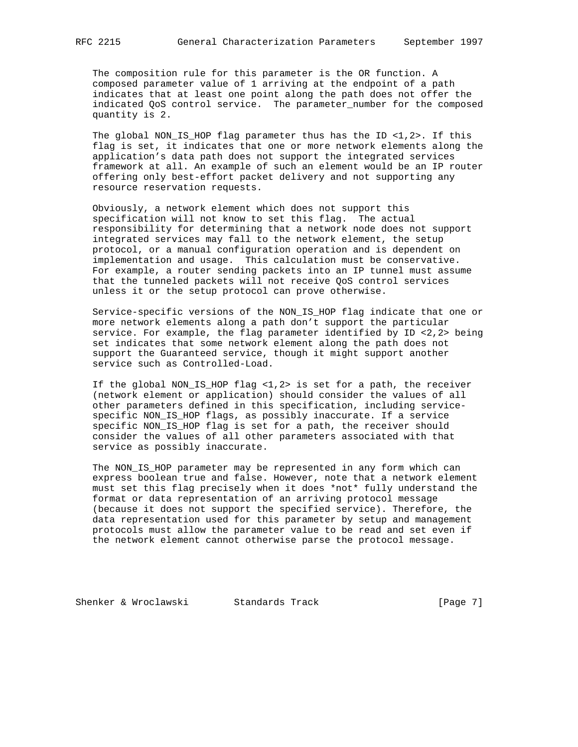The composition rule for this parameter is the OR function. A composed parameter value of 1 arriving at the endpoint of a path indicates that at least one point along the path does not offer the indicated QoS control service. The parameter\_number for the composed quantity is 2.

 The global NON\_IS\_HOP flag parameter thus has the ID <1,2>. If this flag is set, it indicates that one or more network elements along the application's data path does not support the integrated services framework at all. An example of such an element would be an IP router offering only best-effort packet delivery and not supporting any resource reservation requests.

 Obviously, a network element which does not support this specification will not know to set this flag. The actual responsibility for determining that a network node does not support integrated services may fall to the network element, the setup protocol, or a manual configuration operation and is dependent on implementation and usage. This calculation must be conservative. For example, a router sending packets into an IP tunnel must assume that the tunneled packets will not receive QoS control services unless it or the setup protocol can prove otherwise.

 Service-specific versions of the NON\_IS\_HOP flag indicate that one or more network elements along a path don't support the particular service. For example, the flag parameter identified by ID  $\langle 2, 2 \rangle$  being set indicates that some network element along the path does not support the Guaranteed service, though it might support another service such as Controlled-Load.

 If the global NON\_IS\_HOP flag <1,2> is set for a path, the receiver (network element or application) should consider the values of all other parameters defined in this specification, including service specific NON IS HOP flags, as possibly inaccurate. If a service specific NON\_IS\_HOP flag is set for a path, the receiver should consider the values of all other parameters associated with that service as possibly inaccurate.

 The NON\_IS\_HOP parameter may be represented in any form which can express boolean true and false. However, note that a network element must set this flag precisely when it does \*not\* fully understand the format or data representation of an arriving protocol message (because it does not support the specified service). Therefore, the data representation used for this parameter by setup and management protocols must allow the parameter value to be read and set even if the network element cannot otherwise parse the protocol message.

Shenker & Wroclawski Standards Track [Page 7]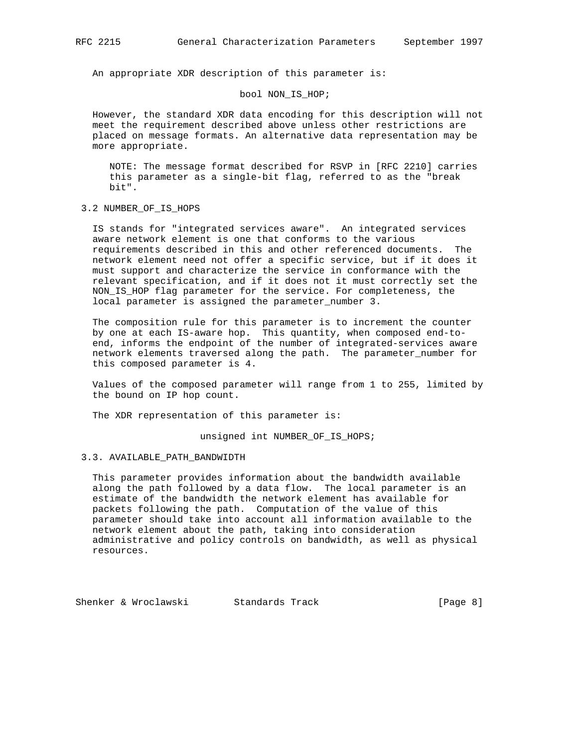An appropriate XDR description of this parameter is:

### bool NON\_IS\_HOP;

 However, the standard XDR data encoding for this description will not meet the requirement described above unless other restrictions are placed on message formats. An alternative data representation may be more appropriate.

 NOTE: The message format described for RSVP in [RFC 2210] carries this parameter as a single-bit flag, referred to as the "break bit".

## 3.2 NUMBER\_OF\_IS\_HOPS

 IS stands for "integrated services aware". An integrated services aware network element is one that conforms to the various requirements described in this and other referenced documents. The network element need not offer a specific service, but if it does it must support and characterize the service in conformance with the relevant specification, and if it does not it must correctly set the NON\_IS\_HOP flag parameter for the service. For completeness, the local parameter is assigned the parameter\_number 3.

 The composition rule for this parameter is to increment the counter by one at each IS-aware hop. This quantity, when composed end-to end, informs the endpoint of the number of integrated-services aware network elements traversed along the path. The parameter\_number for this composed parameter is 4.

 Values of the composed parameter will range from 1 to 255, limited by the bound on IP hop count.

The XDR representation of this parameter is:

unsigned int NUMBER\_OF\_IS\_HOPS;

## 3.3. AVAILABLE\_PATH\_BANDWIDTH

 This parameter provides information about the bandwidth available along the path followed by a data flow. The local parameter is an estimate of the bandwidth the network element has available for packets following the path. Computation of the value of this parameter should take into account all information available to the network element about the path, taking into consideration administrative and policy controls on bandwidth, as well as physical resources.

Shenker & Wroclawski Standards Track [Page 8]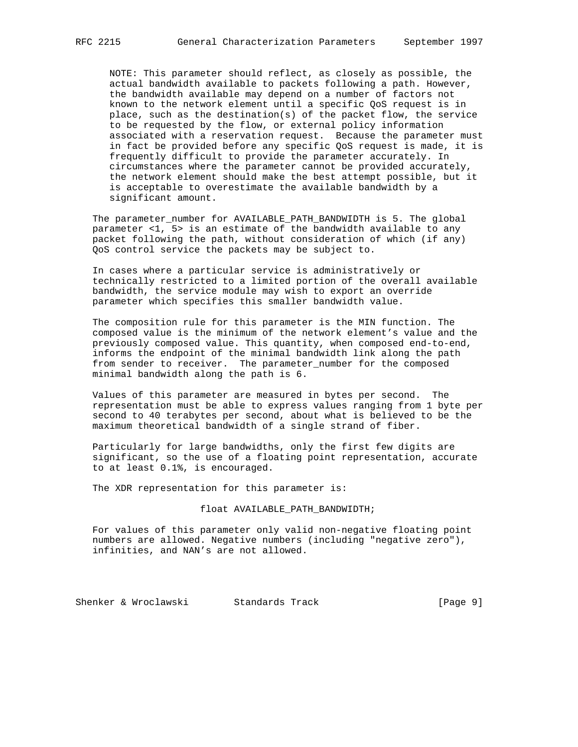NOTE: This parameter should reflect, as closely as possible, the actual bandwidth available to packets following a path. However, the bandwidth available may depend on a number of factors not known to the network element until a specific QoS request is in place, such as the destination(s) of the packet flow, the service to be requested by the flow, or external policy information associated with a reservation request. Because the parameter must in fact be provided before any specific QoS request is made, it is frequently difficult to provide the parameter accurately. In circumstances where the parameter cannot be provided accurately, the network element should make the best attempt possible, but it is acceptable to overestimate the available bandwidth by a significant amount.

 The parameter\_number for AVAILABLE\_PATH\_BANDWIDTH is 5. The global parameter <1, 5> is an estimate of the bandwidth available to any packet following the path, without consideration of which (if any) QoS control service the packets may be subject to.

 In cases where a particular service is administratively or technically restricted to a limited portion of the overall available bandwidth, the service module may wish to export an override parameter which specifies this smaller bandwidth value.

 The composition rule for this parameter is the MIN function. The composed value is the minimum of the network element's value and the previously composed value. This quantity, when composed end-to-end, informs the endpoint of the minimal bandwidth link along the path from sender to receiver. The parameter\_number for the composed minimal bandwidth along the path is 6.

 Values of this parameter are measured in bytes per second. The representation must be able to express values ranging from 1 byte per second to 40 terabytes per second, about what is believed to be the maximum theoretical bandwidth of a single strand of fiber.

 Particularly for large bandwidths, only the first few digits are significant, so the use of a floating point representation, accurate to at least 0.1%, is encouraged.

The XDR representation for this parameter is:

### float AVAILABLE\_PATH\_BANDWIDTH;

 For values of this parameter only valid non-negative floating point numbers are allowed. Negative numbers (including "negative zero"), infinities, and NAN's are not allowed.

Shenker & Wroclawski Standards Track (Page 9)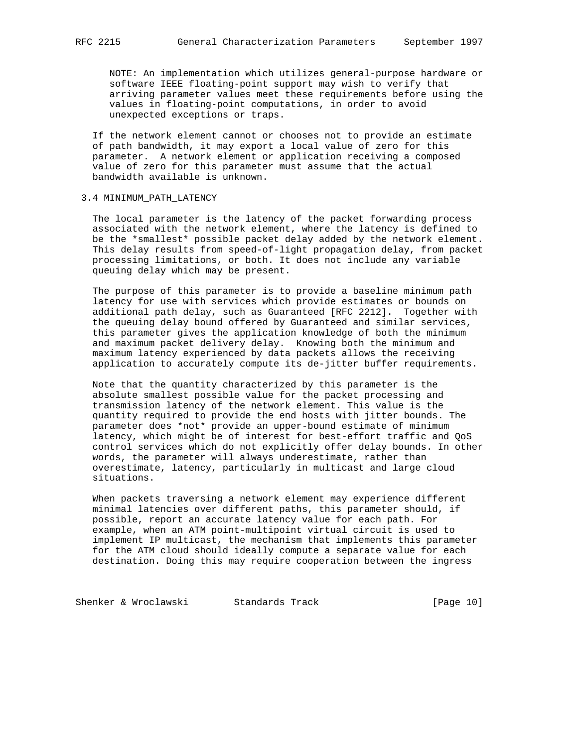NOTE: An implementation which utilizes general-purpose hardware or software IEEE floating-point support may wish to verify that arriving parameter values meet these requirements before using the values in floating-point computations, in order to avoid unexpected exceptions or traps.

 If the network element cannot or chooses not to provide an estimate of path bandwidth, it may export a local value of zero for this parameter. A network element or application receiving a composed value of zero for this parameter must assume that the actual bandwidth available is unknown.

## 3.4 MINIMUM\_PATH\_LATENCY

 The local parameter is the latency of the packet forwarding process associated with the network element, where the latency is defined to be the \*smallest\* possible packet delay added by the network element. This delay results from speed-of-light propagation delay, from packet processing limitations, or both. It does not include any variable queuing delay which may be present.

 The purpose of this parameter is to provide a baseline minimum path latency for use with services which provide estimates or bounds on additional path delay, such as Guaranteed [RFC 2212]. Together with the queuing delay bound offered by Guaranteed and similar services, this parameter gives the application knowledge of both the minimum and maximum packet delivery delay. Knowing both the minimum and maximum latency experienced by data packets allows the receiving application to accurately compute its de-jitter buffer requirements.

 Note that the quantity characterized by this parameter is the absolute smallest possible value for the packet processing and transmission latency of the network element. This value is the quantity required to provide the end hosts with jitter bounds. The parameter does \*not\* provide an upper-bound estimate of minimum latency, which might be of interest for best-effort traffic and QoS control services which do not explicitly offer delay bounds. In other words, the parameter will always underestimate, rather than overestimate, latency, particularly in multicast and large cloud situations.

 When packets traversing a network element may experience different minimal latencies over different paths, this parameter should, if possible, report an accurate latency value for each path. For example, when an ATM point-multipoint virtual circuit is used to implement IP multicast, the mechanism that implements this parameter for the ATM cloud should ideally compute a separate value for each destination. Doing this may require cooperation between the ingress

Shenker & Wroclawski Standards Track [Page 10]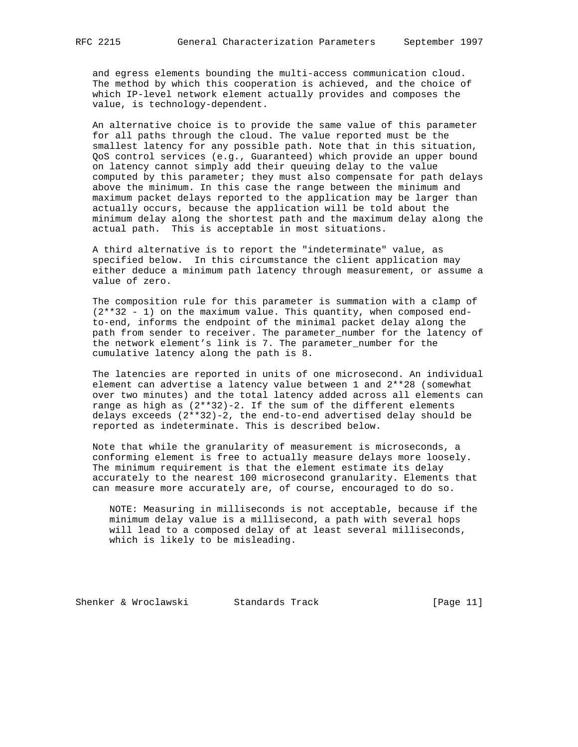and egress elements bounding the multi-access communication cloud. The method by which this cooperation is achieved, and the choice of which IP-level network element actually provides and composes the value, is technology-dependent.

 An alternative choice is to provide the same value of this parameter for all paths through the cloud. The value reported must be the smallest latency for any possible path. Note that in this situation, QoS control services (e.g., Guaranteed) which provide an upper bound on latency cannot simply add their queuing delay to the value computed by this parameter; they must also compensate for path delays above the minimum. In this case the range between the minimum and maximum packet delays reported to the application may be larger than actually occurs, because the application will be told about the minimum delay along the shortest path and the maximum delay along the actual path. This is acceptable in most situations.

 A third alternative is to report the "indeterminate" value, as specified below. In this circumstance the client application may either deduce a minimum path latency through measurement, or assume a value of zero.

 The composition rule for this parameter is summation with a clamp of  $(2**32 - 1)$  on the maximum value. This quantity, when composed end to-end, informs the endpoint of the minimal packet delay along the path from sender to receiver. The parameter\_number for the latency of the network element's link is 7. The parameter\_number for the cumulative latency along the path is 8.

 The latencies are reported in units of one microsecond. An individual element can advertise a latency value between 1 and 2\*\*28 (somewhat over two minutes) and the total latency added across all elements can range as high as  $(2**32)-2$ . If the sum of the different elements delays exceeds  $(2**32)-2$ , the end-to-end advertised delay should be reported as indeterminate. This is described below.

 Note that while the granularity of measurement is microseconds, a conforming element is free to actually measure delays more loosely. The minimum requirement is that the element estimate its delay accurately to the nearest 100 microsecond granularity. Elements that can measure more accurately are, of course, encouraged to do so.

 NOTE: Measuring in milliseconds is not acceptable, because if the minimum delay value is a millisecond, a path with several hops will lead to a composed delay of at least several milliseconds, which is likely to be misleading.

Shenker & Wroclawski Standards Track [Page 11]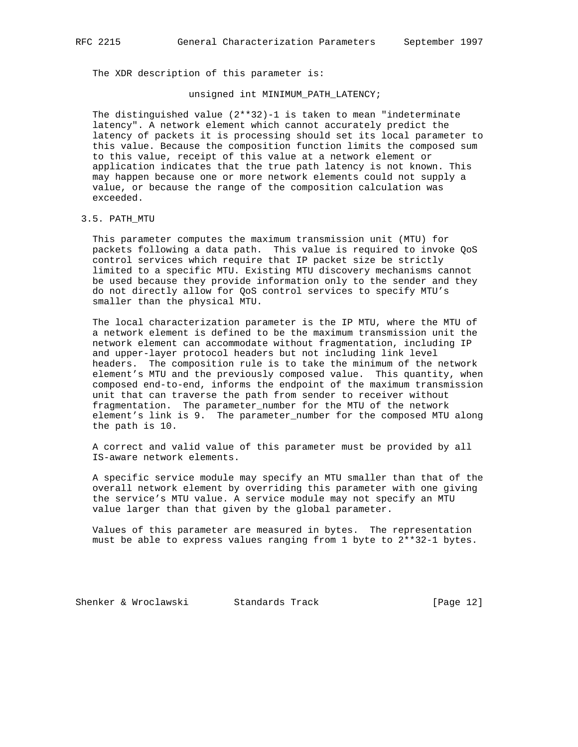The XDR description of this parameter is:

#### unsigned int MINIMUM\_PATH\_LATENCY;

The distinguished value  $(2**32)-1$  is taken to mean "indeterminate latency". A network element which cannot accurately predict the latency of packets it is processing should set its local parameter to this value. Because the composition function limits the composed sum to this value, receipt of this value at a network element or application indicates that the true path latency is not known. This may happen because one or more network elements could not supply a value, or because the range of the composition calculation was exceeded.

## 3.5. PATH\_MTU

 This parameter computes the maximum transmission unit (MTU) for packets following a data path. This value is required to invoke QoS control services which require that IP packet size be strictly limited to a specific MTU. Existing MTU discovery mechanisms cannot be used because they provide information only to the sender and they do not directly allow for QoS control services to specify MTU's smaller than the physical MTU.

 The local characterization parameter is the IP MTU, where the MTU of a network element is defined to be the maximum transmission unit the network element can accommodate without fragmentation, including IP and upper-layer protocol headers but not including link level headers. The composition rule is to take the minimum of the network element's MTU and the previously composed value. This quantity, when composed end-to-end, informs the endpoint of the maximum transmission unit that can traverse the path from sender to receiver without fragmentation. The parameter\_number for the MTU of the network element's link is 9. The parameter\_number for the composed MTU along the path is 10.

 A correct and valid value of this parameter must be provided by all IS-aware network elements.

 A specific service module may specify an MTU smaller than that of the overall network element by overriding this parameter with one giving the service's MTU value. A service module may not specify an MTU value larger than that given by the global parameter.

 Values of this parameter are measured in bytes. The representation must be able to express values ranging from 1 byte to 2\*\*32-1 bytes.

Shenker & Wroclawski Standards Track [Page 12]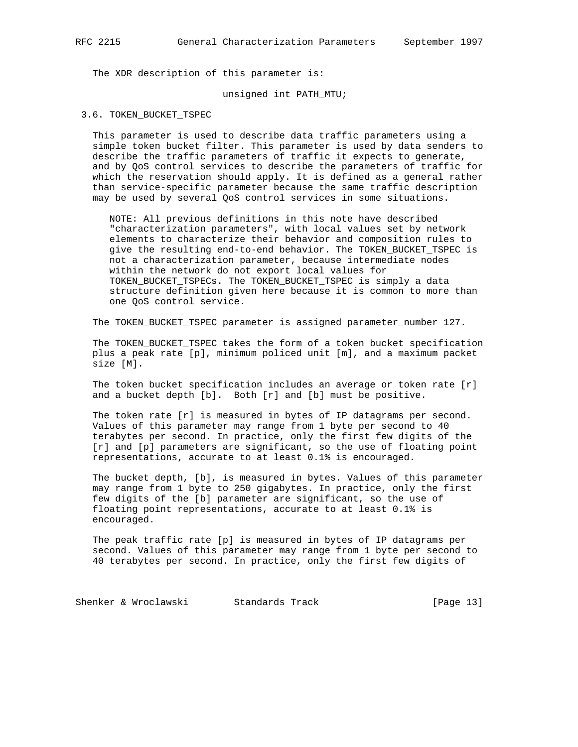The XDR description of this parameter is:

#### unsigned int PATH\_MTU;

3.6. TOKEN\_BUCKET\_TSPEC

 This parameter is used to describe data traffic parameters using a simple token bucket filter. This parameter is used by data senders to describe the traffic parameters of traffic it expects to generate, and by QoS control services to describe the parameters of traffic for which the reservation should apply. It is defined as a general rather than service-specific parameter because the same traffic description may be used by several QoS control services in some situations.

 NOTE: All previous definitions in this note have described "characterization parameters", with local values set by network elements to characterize their behavior and composition rules to give the resulting end-to-end behavior. The TOKEN\_BUCKET\_TSPEC is not a characterization parameter, because intermediate nodes within the network do not export local values for TOKEN\_BUCKET\_TSPECs. The TOKEN\_BUCKET\_TSPEC is simply a data structure definition given here because it is common to more than one QoS control service.

The TOKEN\_BUCKET\_TSPEC parameter is assigned parameter\_number 127.

 The TOKEN\_BUCKET\_TSPEC takes the form of a token bucket specification plus a peak rate [p], minimum policed unit [m], and a maximum packet size [M].

 The token bucket specification includes an average or token rate [r] and a bucket depth [b]. Both [r] and [b] must be positive.

 The token rate [r] is measured in bytes of IP datagrams per second. Values of this parameter may range from 1 byte per second to 40 terabytes per second. In practice, only the first few digits of the [r] and [p] parameters are significant, so the use of floating point representations, accurate to at least 0.1% is encouraged.

 The bucket depth, [b], is measured in bytes. Values of this parameter may range from 1 byte to 250 gigabytes. In practice, only the first few digits of the [b] parameter are significant, so the use of floating point representations, accurate to at least 0.1% is encouraged.

 The peak traffic rate [p] is measured in bytes of IP datagrams per second. Values of this parameter may range from 1 byte per second to 40 terabytes per second. In practice, only the first few digits of

Shenker & Wroclawski Standards Track [Page 13]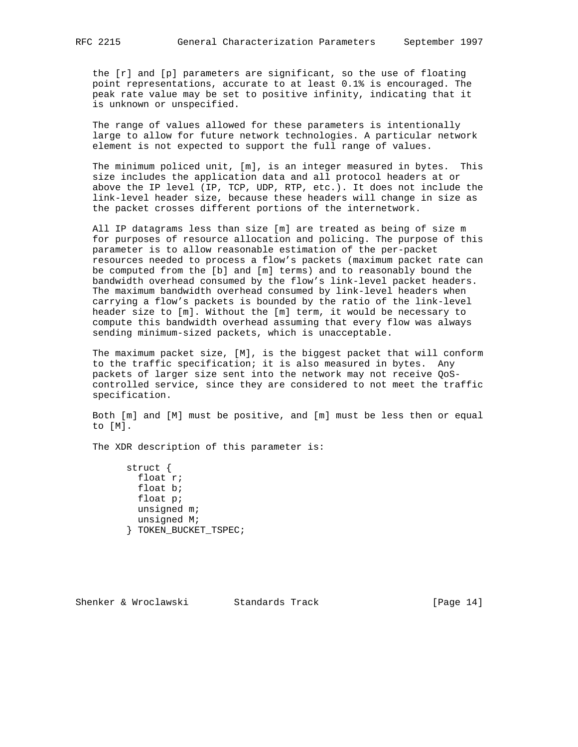the [r] and [p] parameters are significant, so the use of floating point representations, accurate to at least 0.1% is encouraged. The peak rate value may be set to positive infinity, indicating that it is unknown or unspecified.

 The range of values allowed for these parameters is intentionally large to allow for future network technologies. A particular network element is not expected to support the full range of values.

 The minimum policed unit, [m], is an integer measured in bytes. This size includes the application data and all protocol headers at or above the IP level (IP, TCP, UDP, RTP, etc.). It does not include the link-level header size, because these headers will change in size as the packet crosses different portions of the internetwork.

 All IP datagrams less than size [m] are treated as being of size m for purposes of resource allocation and policing. The purpose of this parameter is to allow reasonable estimation of the per-packet resources needed to process a flow's packets (maximum packet rate can be computed from the [b] and [m] terms) and to reasonably bound the bandwidth overhead consumed by the flow's link-level packet headers. The maximum bandwidth overhead consumed by link-level headers when carrying a flow's packets is bounded by the ratio of the link-level header size to [m]. Without the [m] term, it would be necessary to compute this bandwidth overhead assuming that every flow was always sending minimum-sized packets, which is unacceptable.

 The maximum packet size, [M], is the biggest packet that will conform to the traffic specification; it is also measured in bytes. Any packets of larger size sent into the network may not receive QoS controlled service, since they are considered to not meet the traffic specification.

 Both [m] and [M] must be positive, and [m] must be less then or equal to [M].

The XDR description of this parameter is:

 struct { float r; float b; float p; unsigned m; unsigned M; } TOKEN\_BUCKET\_TSPEC;

Shenker & Wroclawski Standards Track [Page 14]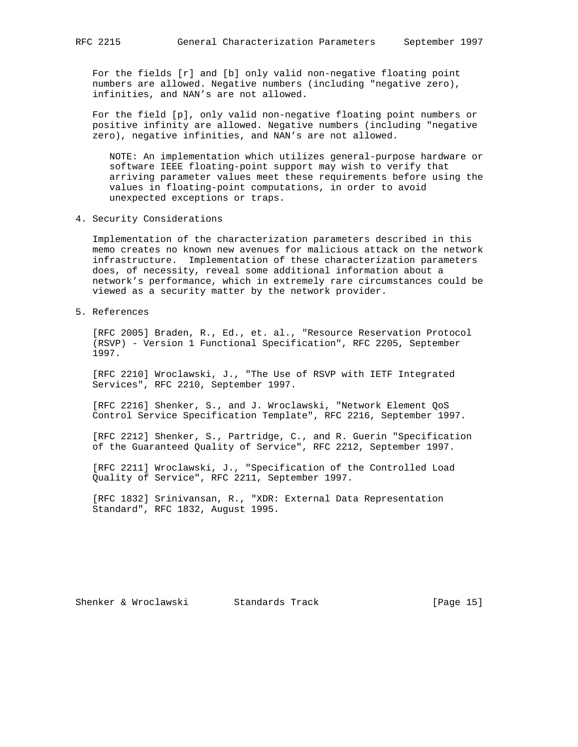For the fields [r] and [b] only valid non-negative floating point numbers are allowed. Negative numbers (including "negative zero), infinities, and NAN's are not allowed.

 For the field [p], only valid non-negative floating point numbers or positive infinity are allowed. Negative numbers (including "negative zero), negative infinities, and NAN's are not allowed.

 NOTE: An implementation which utilizes general-purpose hardware or software IEEE floating-point support may wish to verify that arriving parameter values meet these requirements before using the values in floating-point computations, in order to avoid unexpected exceptions or traps.

4. Security Considerations

 Implementation of the characterization parameters described in this memo creates no known new avenues for malicious attack on the network infrastructure. Implementation of these characterization parameters does, of necessity, reveal some additional information about a network's performance, which in extremely rare circumstances could be viewed as a security matter by the network provider.

5. References

 [RFC 2005] Braden, R., Ed., et. al., "Resource Reservation Protocol (RSVP) - Version 1 Functional Specification", RFC 2205, September 1997.

 [RFC 2210] Wroclawski, J., "The Use of RSVP with IETF Integrated Services", RFC 2210, September 1997.

 [RFC 2216] Shenker, S., and J. Wroclawski, "Network Element QoS Control Service Specification Template", RFC 2216, September 1997.

 [RFC 2212] Shenker, S., Partridge, C., and R. Guerin "Specification of the Guaranteed Quality of Service", RFC 2212, September 1997.

 [RFC 2211] Wroclawski, J., "Specification of the Controlled Load Quality of Service", RFC 2211, September 1997.

 [RFC 1832] Srinivansan, R., "XDR: External Data Representation Standard", RFC 1832, August 1995.